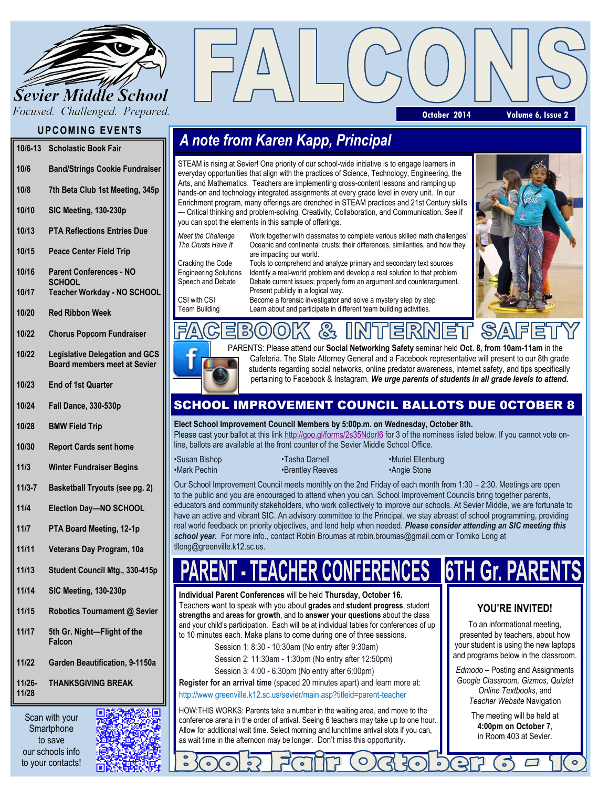

Focused. Challenged. Prepared.

### **UPCOMING EVENTS**

| $10/6 - 13$ | <b>Scholastic Book Fair</b>                     |
|-------------|-------------------------------------------------|
| 10/6        | <b>Band/Strings Cookie Fundraiser</b>           |
| 10/8        | 7th Beta Club 1st Meeting, 345p                 |
| 10/10       | SIC Meeting, 130-230p                           |
| 10/13       | <b>PTA Reflections Entries Due</b>              |
| 10/15       | <b>Peace Center Field Trip</b>                  |
| 10/16       | <b>Parent Conferences - NO</b><br><b>SCHOOL</b> |
| 10/17       | Teacher Workday - NO SCHOOL                     |
| 10/20       | <b>Red Ribbon Week</b>                          |

- **10/22 Chorus Popcorn Fundraiser**
- **10/22 Legislative Delegation and GCS Board members meet at Sevier**
- **10/23 End of 1st Quarter**
- **10/24 Fall Dance, 330-530p**
- **10/28 BMW Field Trip**
- **10/30 Report Cards sent home**
- **11/3 Winter Fundraiser Begins**
- **11/3-7 Basketball Tryouts (see pg. 2)**
- **11/4 Election Day—NO SCHOOL**
- **11/7 PTA Board Meeting, 12-1p**
- **11/11 Veterans Day Program, 10a**
- **11/13 Student Council Mtg., 330-415p**
- **11/14 SIC Meeting, 130-230p**
- **11/15 Robotics Tournament @ Sevier**
- **11/17 5th Gr. Night—Flight of the Falcon**
- **11/22 Garden Beautification, 9-1150a**
- **11/26- 11/28 THANKSGIVING BREAK**

Scan with your **Smartphone** to save our schools info to your contacts!



**October 2014 Volume 6, Issue 2**

# *A note from Karen Kapp, Principal*

STEAM is rising at Sevier! One priority of our school-wide initiative is to engage learners in everyday opportunities that align with the practices of Science, Technology, Engineering, the Arts, and Mathematics. Teachers are implementing cross-content lessons and ramping up hands-on and technology integrated assignments at every grade level in every unit. In our Enrichment program, many offerings are drenched in STEAM practices and 21st Century skills — Critical thinking and problem-solving, Creativity, Collaboration, and Communication. See if you can spot the elements in this sample of offerings.

*Meet the Challenge* Work together with classmates to complete various skilled math challenges!<br>The Crusts Have It<br> *The Crusts Have It* Oceanic and continental crusts: their differences, similarities, and how they are impacting our world.

Cracking the Code Tools to comprehend and analyze primary and secondary text sources Engineering Solutions Identify a real-world problem and develop a real solution to that problem Speech and Debate Debate current issues; properly form an argument and counterargument. Present publicly in a logical way.

CSI with CSI Become a forensic investigator and solve a mystery step by step Team Building Learn about and participate in different team building activities.

 $\mathcal{E}_{3}$ 





PARENTS: Please attend our **Social Networking Safety** seminar held **Oct. 8, from 10am-11am** in the Cafeteria. The State Attorney General and a Facebook representative will present to our 8th grade students regarding social networks, online predator awareness, internet safety, and tips specifically pertaining to Facebook & Instagram. *We urge parents of students in all grade levels to attend.* 

티

## SCHOOL IMPROVEMENT COUNCIL BALLOTS DUE 0CTOBER 8

**Elect School Improvement Council Members by 5:00p.m. on Wednesday, October 8th.** Please cast your ballot at this link <http://goo.gl/forms/2s35NdorI6> for 3 of the nominees listed below. If you cannot vote online, ballots are available at the front counter of the Sevier Middle School Office.

•Mark Pechin •Brentley Reeves •Angie Stone

(O)

•Susan Bishop • Tasha Darnell • Tasha • Nuriel Ellenburg

Our School Improvement Council meets monthly on the 2nd Friday of each month from 1:30 – 2:30. Meetings are open to the public and you are encouraged to attend when you can. School Improvement Councils bring together parents, educators and community stakeholders, who work collectively to improve our schools. At Sevier Middle, we are fortunate to have an active and vibrant SIC. An advisory committee to the Principal, we stay abreast of school programming, providing real world feedback on priority objectives, and lend help when needed. *Please consider attending an SIC meeting this school year.* For more info., contact Robin Broumas at robin.broumas@gmail.com or Tomiko Long at tllong@greenville.k12.sc.us.

# **6TH Gr. PARENTS**

**Individual Parent Conferences** will be held **Thursday, October 16.**  Teachers want to speak with you about **grades** and **student progress**, student **strengths** and **areas for growth**, and to **answer your questions** about the class and your child's participation. Each will be at individual tables for conferences of up to 10 minutes each. Make plans to come during one of three sessions.

> Session 1: 8:30 - 10:30am (No entry after 9:30am) Session 2: 11:30am - 1:30pm (No entry after 12:50pm)

Session 3: 4:00 - 6:30pm (No entry after 6:00pm)

**Register for an arrival time** (spaced 20 minutes apart) and learn more at: http://www.greenville.k12.sc.us/sevier/main.asp?titleid=parent-teacher

HOW:THIS WORKS: Parents take a number in the waiting area, and move to the conference arena in the order of arrival. Seeing 6 teachers may take up to one hour. Allow for additional wait time. Select morning and lunchtime arrival slots if you can, as wait time in the afternoon may be longer. Don't miss this opportunity.

# **YOU'RE INVITED!**

To an informational meeting, presented by teachers, about how your student is using the new laptops and programs below in the classroom.

*Edmodo* – Posting and Assignments *Google Classroom, Gizmos, Quizlet Online Textbooks*, and *Teacher Website* Navigation

> The meeting will be held at **4:00pm on October 7**, in Room 403 at Sevier.